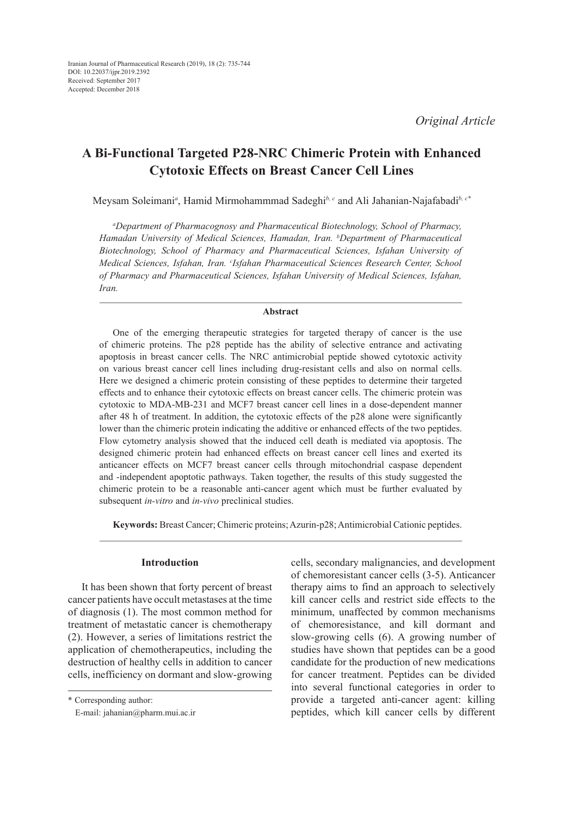# **A Bi-Functional Targeted P28-NRC Chimeric Protein with Enhanced Cytotoxic Effects on Breast Cancer Cell Lines**

Meysam Soleimani*<sup>a</sup>* , Hamid Mirmohammmad Sadeghi*b, c* and Ali Jahanian-Najafabadi*b, c\**

*a Department of Pharmacognosy and Pharmaceutical Biotechnology, School of Pharmacy, Hamadan University of Medical Sciences, Hamadan, Iran. b Department of Pharmaceutical Biotechnology, School of Pharmacy and Pharmaceutical Sciences, Isfahan University of Medical Sciences, Isfahan, Iran. c Isfahan Pharmaceutical Sciences Research Center, School of Pharmacy and Pharmaceutical Sciences, Isfahan University of Medical Sciences, Isfahan, Iran.*

## **Abstract**

One of the emerging therapeutic strategies for targeted therapy of cancer is the use of chimeric proteins. The p28 peptide has the ability of selective entrance and activating apoptosis in breast cancer cells. The NRC antimicrobial peptide showed cytotoxic activity on various breast cancer cell lines including drug-resistant cells and also on normal cells. Here we designed a chimeric protein consisting of these peptides to determine their targeted effects and to enhance their cytotoxic effects on breast cancer cells. The chimeric protein was cytotoxic to MDA-MB-231 and MCF7 breast cancer cell lines in a dose-dependent manner after 48 h of treatment. In addition, the cytotoxic effects of the p28 alone were significantly lower than the chimeric protein indicating the additive or enhanced effects of the two peptides. Flow cytometry analysis showed that the induced cell death is mediated via apoptosis. The designed chimeric protein had enhanced effects on breast cancer cell lines and exerted its anticancer effects on MCF7 breast cancer cells through mitochondrial caspase dependent and -independent apoptotic pathways. Taken together, the results of this study suggested the chimeric protein to be a reasonable anti-cancer agent which must be further evaluated by subsequent *in-vitro* and *in-vivo* preclinical studies.

**Keywords:** Breast Cancer; Chimeric proteins; Azurin-p28; Antimicrobial Cationic peptides.

# **Introduction**

It has been shown that forty percent of breast cancer patients have occult metastases at the time of diagnosis (1). The most common method for treatment of metastatic cancer is chemotherapy (2). However, a series of limitations restrict the application of chemotherapeutics, including the destruction of healthy cells in addition to cancer cells, inefficiency on dormant and slow-growing cells, secondary malignancies, and development of chemoresistant cancer cells (3-5). Anticancer therapy aims to find an approach to selectively kill cancer cells and restrict side effects to the minimum, unaffected by common mechanisms of chemoresistance, and kill dormant and slow-growing cells (6). A growing number of studies have shown that peptides can be a good candidate for the production of new medications for cancer treatment. Peptides can be divided into several functional categories in order to provide a targeted anti-cancer agent: killing peptides, which kill cancer cells by different

<sup>\*</sup> Corresponding author:

E-mail: jahanian@pharm.mui.ac.ir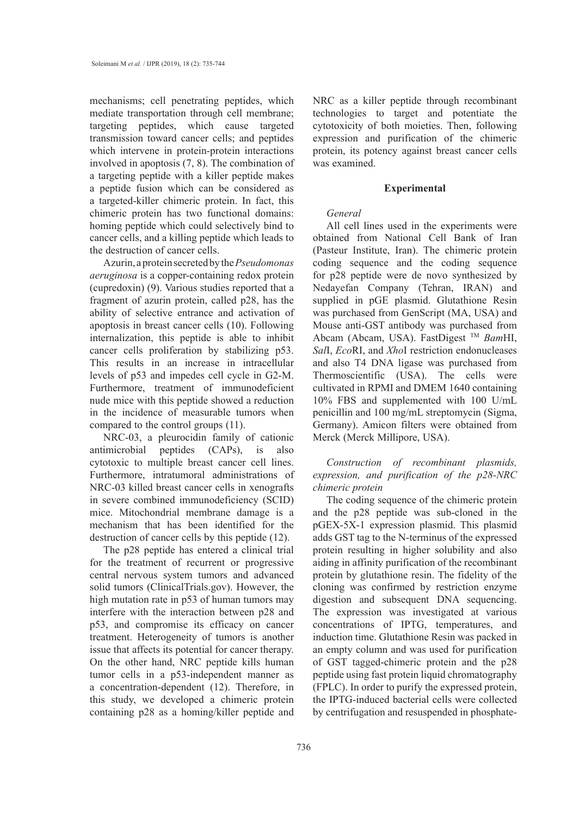mechanisms; cell penetrating peptides, which mediate transportation through cell membrane; targeting peptides, which cause targeted transmission toward cancer cells; and peptides which intervene in protein-protein interactions involved in apoptosis (7, 8). The combination of a targeting peptide with a killer peptide makes a peptide fusion which can be considered as a targeted-killer chimeric protein. In fact, this chimeric protein has two functional domains: homing peptide which could selectively bind to cancer cells, and a killing peptide which leads to the destruction of cancer cells.

Azurin, a protein secreted by the *Pseudomonas aeruginosa* is a copper-containing redox protein (cupredoxin) (9). Various studies reported that a fragment of azurin protein, called p28, has the ability of selective entrance and activation of apoptosis in breast cancer cells (10). Following internalization, this peptide is able to inhibit cancer cells proliferation by stabilizing p53. This results in an increase in intracellular levels of p53 and impedes cell cycle in G2-M. Furthermore, treatment of immunodeficient nude mice with this peptide showed a reduction in the incidence of measurable tumors when compared to the control groups (11).

NRC-03, a pleurocidin family of cationic antimicrobial peptides (CAPs), is also cytotoxic to multiple breast cancer cell lines. Furthermore, intratumoral administrations of NRC-03 killed breast cancer cells in xenografts in severe combined immunodeficiency (SCID) mice. Mitochondrial membrane damage is a mechanism that has been identified for the destruction of cancer cells by this peptide (12).

The p28 peptide has entered a clinical trial for the treatment of recurrent or progressive central nervous system tumors and advanced solid tumors (ClinicalTrials.gov). However, the high mutation rate in p53 of human tumors may interfere with the interaction between p28 and p53, and compromise its efficacy on cancer treatment. Heterogeneity of tumors is another issue that affects its potential for cancer therapy. On the other hand, NRC peptide kills human tumor cells in a p53-independent manner as a concentration-dependent (12). Therefore, in this study, we developed a chimeric protein containing p28 as a homing/killer peptide and NRC as a killer peptide through recombinant technologies to target and potentiate the cytotoxicity of both moieties. Then, following expression and purification of the chimeric protein, its potency against breast cancer cells was examined.

# **Experimental**

# *General*

All cell lines used in the experiments were obtained from National Cell Bank of Iran (Pasteur Institute, Iran). The chimeric protein coding sequence and the coding sequence for p28 peptide were de novo synthesized by Nedayefan Company (Tehran, IRAN) and supplied in pGE plasmid. Glutathione Resin was purchased from GenScript (MA, USA) and Mouse anti-GST antibody was purchased from Abcam (Abcam, USA). FastDigest TM *Bam*HI, *Sal*I, *Eco*RI, and *Xho*I restriction endonucleases and also T4 DNA ligase was purchased from Thermoscientific (USA). The cells were cultivated in RPMI and DMEM 1640 containing 10% FBS and supplemented with 100 U/mL penicillin and 100 mg/mL streptomycin (Sigma, Germany). Amicon filters were obtained from Merck (Merck Millipore, USA).

*Construction of recombinant plasmids, expression, and purification of the p28-NRC chimeric protein*

The coding sequence of the chimeric protein and the p28 peptide was sub-cloned in the pGEX-5X-1 expression plasmid. This plasmid adds GST tag to the N-terminus of the expressed protein resulting in higher solubility and also aiding in affinity purification of the recombinant protein by glutathione resin. The fidelity of the cloning was confirmed by restriction enzyme digestion and subsequent DNA sequencing. The expression was investigated at various concentrations of IPTG, temperatures, and induction time. Glutathione Resin was packed in an empty column and was used for purification of GST tagged-chimeric protein and the p28 peptide using fast protein liquid chromatography (FPLC). In order to purify the expressed protein, the IPTG-induced bacterial cells were collected by centrifugation and resuspended in phosphate-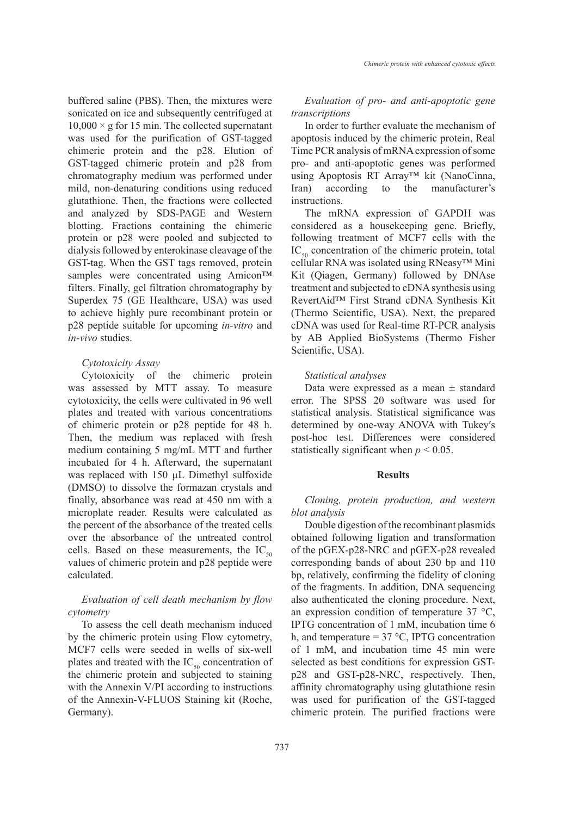buffered saline (PBS). Then, the mixtures were sonicated on ice and subsequently centrifuged at  $10,000 \times g$  for 15 min. The collected supernatant was used for the purification of GST-tagged chimeric protein and the p28. Elution of GST-tagged chimeric protein and p28 from chromatography medium was performed under mild, non-denaturing conditions using reduced glutathione. Then, the fractions were collected and analyzed by SDS-PAGE and Western blotting. Fractions containing the chimeric protein or p28 were pooled and subjected to dialysis followed by enterokinase cleavage of the GST-tag. When the GST tags removed, protein samples were concentrated using Amicon™ filters. Finally, gel filtration chromatography by Superdex 75 (GE Healthcare, USA) was used to achieve highly pure recombinant protein or p28 peptide suitable for upcoming *in-vitro* and *in-vivo* studies.

## *Cytotoxicity Assay*

Cytotoxicity of the chimeric protein was assessed by MTT assay. To measure cytotoxicity, the cells were cultivated in 96 well plates and treated with various concentrations of chimeric protein or p28 peptide for 48 h. Then, the medium was replaced with fresh medium containing 5 mg/mL MTT and further incubated for 4 h. Afterward, the supernatant was replaced with 150 µL Dimethyl sulfoxide (DMSO) to dissolve the formazan crystals and finally, absorbance was read at 450 nm with a microplate reader. Results were calculated as the percent of the absorbance of the treated cells over the absorbance of the untreated control cells. Based on these measurements, the  $IC_{50}$ values of chimeric protein and p28 peptide were calculated.

# *Evaluation of cell death mechanism by flow cytometry*

To assess the cell death mechanism induced by the chimeric protein using Flow cytometry, MCF7 cells were seeded in wells of six-well plates and treated with the  $IC_{50}$  concentration of the chimeric protein and subjected to staining with the Annexin V/PI according to instructions of the Annexin-V-FLUOS Staining kit (Roche, Germany).

# *Evaluation of pro- and anti-apoptotic gene transcriptions*

In order to further evaluate the mechanism of apoptosis induced by the chimeric protein, Real Time PCR analysis of mRNA expression of some pro- and anti-apoptotic genes was performed using Apoptosis RT Array™ kit (NanoCinna, Iran) according to the manufacturer's instructions.

The mRNA expression of GAPDH was considered as a housekeeping gene. Briefly, following treatment of MCF7 cells with the  $IC_{50}$  concentration of the chimeric protein, total cellular RNA was isolated using RNeasy™ Mini Kit (Qiagen, Germany) followed by DNAse treatment and subjected to cDNA synthesis using RevertAid™ First Strand cDNA Synthesis Kit (Thermo Scientific, USA). Next, the prepared cDNA was used for Real-time RT-PCR analysis by AB Applied BioSystems (Thermo Fisher Scientific, USA).

#### *Statistical analyses*

Data were expressed as a mean  $\pm$  standard error. The SPSS 20 software was used for statistical analysis. Statistical significance was determined by one-way ANOVA with Tukey′s post-hoc test. Differences were considered statistically significant when  $p < 0.05$ .

### **Results**

*Cloning, protein production, and western blot analysis*

Double digestion of the recombinant plasmids obtained following ligation and transformation of the pGEX-p28-NRC and pGEX-p28 revealed corresponding bands of about 230 bp and 110 bp, relatively, confirming the fidelity of cloning of the fragments. In addition, DNA sequencing also authenticated the cloning procedure. Next, an expression condition of temperature 37 °C, IPTG concentration of 1 mM, incubation time 6 h, and temperature =  $37 \text{ °C}$ , IPTG concentration of 1 mM, and incubation time 45 min were selected as best conditions for expression GSTp28 and GST-p28-NRC, respectively. Then, affinity chromatography using glutathione resin was used for purification of the GST-tagged chimeric protein. The purified fractions were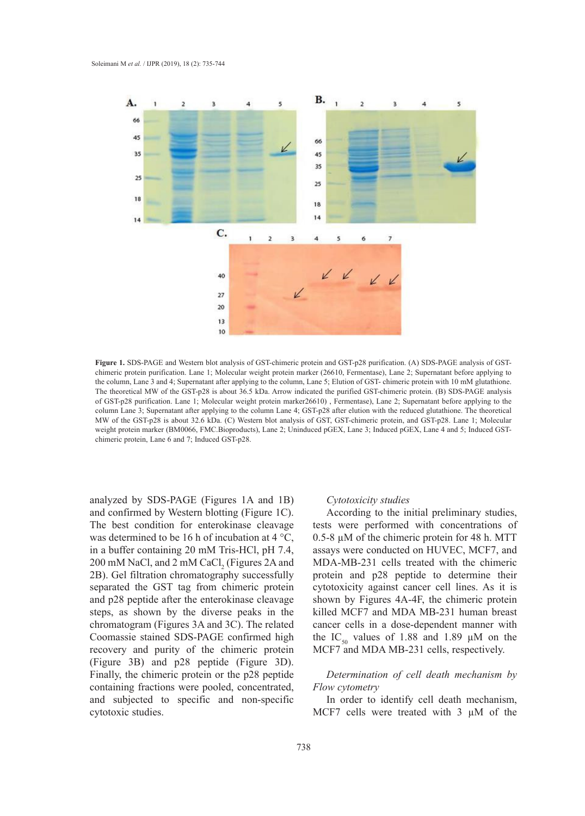

**Figure 1.** SDS-PAGE and Western blot analysis of GST-chimeric protein and GST-p28 purification. (A) SDS-PAGE analysis of GSTchimeric protein purification. Lane 1; Molecular weight protein marker (26610, Fermentase), Lane 2; Supernatant before applying to the column, Lane 3 and 4; Supernatant after applying to the column, Lane 5; Elution of GST- chimeric protein with 10 mM glutathione. The theoretical MW of the GST-p28 is about 36.5 kDa. Arrow indicated the purified GST-chimeric protein. (B) SDS-PAGE analysis of GST-p28 purification. Lane 1; Molecular weight protein marker26610), Fermentase), Lane 2; Supernatant before applying to the column Lane 3; Supernatant after applying to the column Lane 4; GST-p28 after elution with the reduced glutathione. The theoretical MW of the GST-p28 is about 32.6 kDa. (C) Western blot analysis of GST, GST-chimeric protein, and GST-p28. Lane 1; Molecular weight protein marker (BM0066, FMC.Bioproducts), Lane 2; Uninduced pGEX, Lane 3; Induced pGEX, Lane 4 and 5; Induced GSTchimeric protein, Lane 6 and 7; Induced GST-p28.

analyzed by SDS-PAGE (Figures 1A and 1B) and confirmed by Western blotting (Figure 1C). The best condition for enterokinase cleavage was determined to be 16 h of incubation at 4 °C, in a buffer containing 20 mM Tris-HCl, pH 7.4,  $200 \text{ mM NaCl, and } 2 \text{ mM CaCl}_2$  (Figures 2A and 2B). Gel filtration chromatography successfully separated the GST tag from chimeric protein and p28 peptide after the enterokinase cleavage steps, as shown by the diverse peaks in the chromatogram (Figures 3A and 3C). The related Coomassie stained SDS-PAGE confirmed high recovery and purity of the chimeric protein (Figure 3B) and p28 peptide (Figure 3D). Finally, the chimeric protein or the p28 peptide containing fractions were pooled, concentrated, and subjected to specific and non-specific cytotoxic studies. ry and purity of the chimeric protein. MCF7 and MDA MB-231 cells, respectively.

#### *Cytotoxicity studies*

nfirmed by Western blotting (Figure 1C). According to the initial preliminary studies, tests were performed with concentrations of termined to be 16 h of incubation at  $4^{\circ}$ C, 0.5-8  $\mu$ M of the chimeric protein for 48 h. MTT assays were conducted on HUVEC, MCF7, and MDA-MB-231 cells treated with the chimeric In NaCl, and 2 linvi CaCl<sub>2</sub> (Figures 2A and  $\mu$  MDA-ND-231 cens treated with the children intervalsed for the column value of  $\mu$ cytotoxicity against cancer cell lines. As it is shown by Figures 4A-4F, the chimeric protein applying to the collection of the column of  $\frac{1}{2}$ . killed MCF7 and MDA MB-231 human breast atogram (Figures 3A and 3C). The related cancer cells in a dose-dependent manner with the IC<sub>50</sub> values of 1.88 and 1.89  $\mu$ M on the

# *n*, the chimeric protein or the p28 peptide *Determination of cell death mechanism by Flow cytometry*

In order to identify cell death mechanism, MCF7 cells were treated with  $3 \mu M$  of the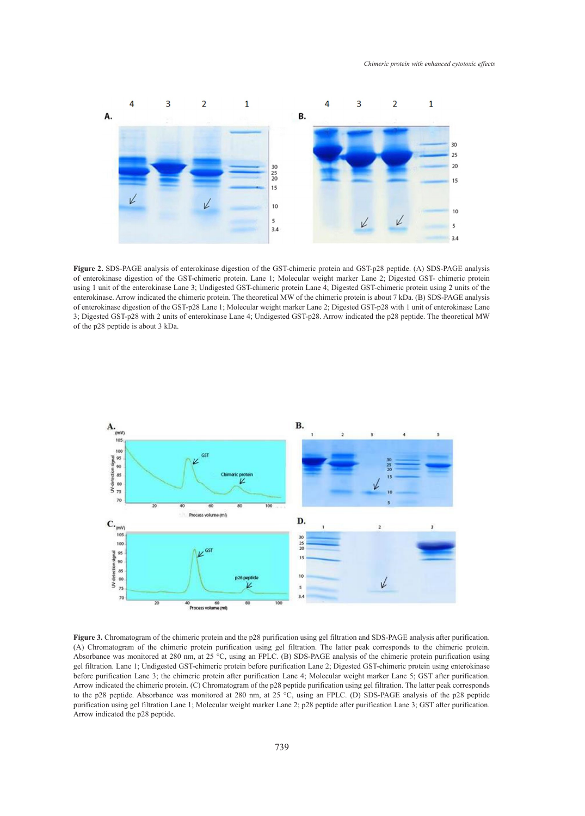

of enterokinase digestion of the GST-chimeric protein. Lane 1; Molecular weight marker Lane 2; Digested GST- chimeric protein of enterokinase. Allow indicated the entimelic protein. The disorderal MW of the entimelic protein is about 7 KDa. (B) 3DS-PAGE analysis of enterokinase digestion of the GST-p28 Lane 1; Molecular weight marker Lane 2; Dige of the p28 peptide is about 3 kDa. **Figure 2.** SDS-PAGE analysis of enterokinase digestion of the GST-chimeric protein and GST-p28 peptide. (A) SDS-PAGE analysis using 1 unit of the enterokinase Lane 3; Undigested GST-chimeric protein Lane 4; Digested GST-chimeric protein using 2 units of the enterokinase. Arrow indicated the chimeric protein. The theoretical MW of the chimeric protein is about 7 kDa. (B) SDS-PAGE analysis 3; Digested GST-p28 with 2 units of enterokinase Lane 4; Undigested GST-p28. Arrow indicated the p28 peptide. The theoretical MW<br>of the p28 peptide is about 3 kDa.



(A) Chromatogram of the chimeric protein purification using gel filtration. The latter peak corresponds to the chimeric protein. ger muation. Eane 1, ontigested 031-emmeric protein octore purification Eane 2, Digested 031-emmeric protein using enteroxinase<br>before purification Lane 3; the chimeric protein after purification Lane 4; Molecular weight m to the p28 peptide. Absorbance was monitored at 280 nm, at 25 °C, using an FPLC. (D) SDS-PAGE analysis of the p28 peptide<br>writing the protocol filtration I and Malaysis of the protocol and a 2000 peptide of the profile La **Figure 3.** Chromatogram of the chimeric protein and the p28 purification using gel filtration and SDS-PAGE analysis after purification. Absorbance was monitored at 280 nm, at 25 °C, using an FPLC. (B) SDS-PAGE analysis of the chimeric protein purification using gel filtration. Lane 1; Undigested GST-chimeric protein before purification Lane 2; Digested GST-chimeric protein using enterokinase Arrow indicated the chimeric protein. (C) Chromatogram of the p28 peptide purification using gel filtration. The latter peak corresponds purification using gel filtration Lane 1; Molecular weight marker Lane 2; p28 peptide after purification Lane 3; GST after purification. Arrow indicated the p28 peptide.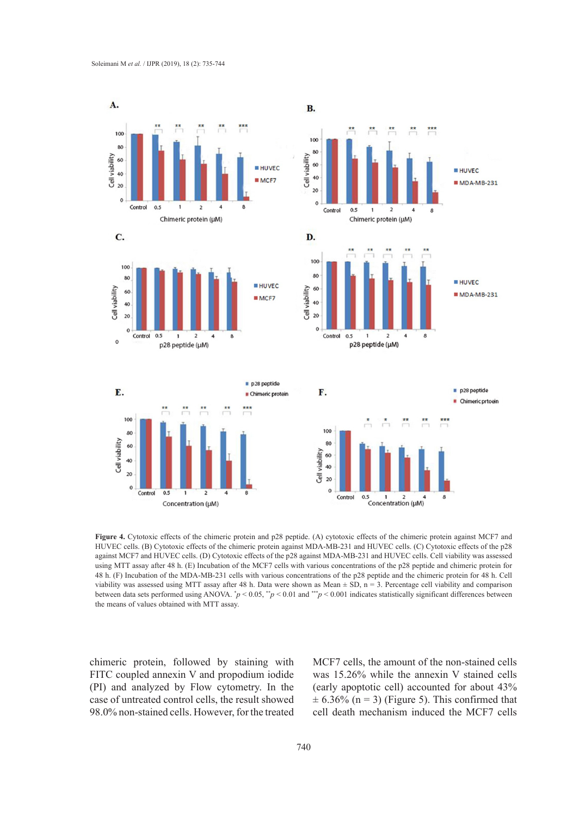

HUVEC cells. (B) Cytotoxic effects of the chimeric protein against MDA-MB-231 and HUVEC cells. (C) Cytotoxic effects of the p28 48 h. (F) Incubation of the MDA-MB-231 cells with various concentrations of the p28 peptide and the chimeric protein for 48 h. Cell the means of values obtained with MTT assay. **Figure 4.** Cytotoxic effects of the chimeric protein and p28 peptide. (A) cytotoxic effects of the chimeric protein against MCF7 and against MCF7 and HUVEC cells. (D) Cytotoxic effects of the p28 against MDA-MB-231 and HUVEC cells. Cell viability was assessed using MTT assay after 48 h. (E) Incubation of the MCF7 cells with various concentrations of the p28 peptide and chimeric protein for viability was assessed using MTT assay after 48 h. Data were shown as Mean  $\pm$  SD, n = 3. Percentage cell viability and comparison between data sets performed using ANOVA.  $p < 0.05$ ,  $p < 0.01$  and  $\sqrt{p} < 0.001$  indicates statistically significant differences between

chimeric protein, followed by staining with MCF7 cells, the amount of the non-stained cell FITC coupled annexin V and propodium iodide (PI) and analyzed by Flow cytometry. In the case of untreated control cells, the result showed 98.0% non-stained cells. However, for the treated

MCF7 cells, the amount of the non-stained cells was 15.26% while the annexin V stained cells (early apoptotic cell) accounted for about 43% of the diality and analyzed by Flow Cytometry. In the tearly apoptotic cent accounted to about  $43\%$  is equivalent to the MCF777 and MTT assessed that  $\pm$  6.36% (n = 3) (Figure 5). This confirmed that cell death mechanism induced the MCF7 cells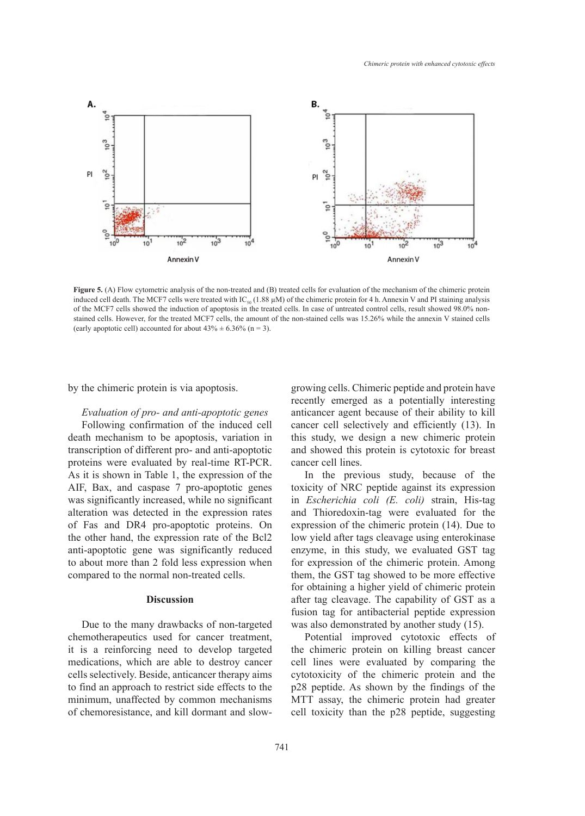

of the MCF7 cells showed the induction of apoptosis in the treated cells. In case of untreated control cells, result showed 98.0% non-(early apoptotic cell) accounted for about  $43\% \pm 6.36\%$  (n = 3). **Figure 5.** (A) Flow cytometric analysis of the non-treated and (B) treated cells for evaluation of the mechanism of the chimeric protein induced cell death. The MCF7 cells were treated with  $IC_{50}$  (1.88  $\mu$ M) of the chimeric protein for 4 h. Annexin V and PI staining analysis stained cells. However, for the treated MCF7 cells, the amount of the non-stained cells was 15.26% while the annexin V stained cells

by the chimeric protein is via apoptosis. The growing cells. Chimeric peptide a

*Evaluation of pro- and anti-apoptotic genes* anticancer agent because of their Following confirmation of the induced cell death mechanism to be apoptosis, variation in this study, we design a new ch transcription of different pro- and anti-apoptotic proteins were evaluated by real-time RT-PCR. cancer cell lines. As it is shown in Table 1, the expression of the AIF, Bax, and caspase 7 pro-apoptotic genes toxicity of NRC per was significantly increased, while no significant alteration was detected in the expression rates of Fas and DR4 pro-apoptotic proteins. On the other hand, the expression rate of the Bcl2 anti-apoptotic gene was significantly reduced to about more than 2 fold less expression when compared to the normal non-treated cells.

# **Discussion**

Due to the many drawbacks of non-targeted chemotherapeutics used for cancer treatment, 16 it is a reinforcing need to develop targeted medications, which are able to destroy cancer cells selectively. Beside, anticancer therapy aims to find an approach to restrict side effects to the minimum, unaffected by common mechanisms of chemoresistance, and kill dormant and slow-

meric protein is via apoptosis. The Mannexie growing cells. Chimeric peptide and protein have recently emerged as a potentially interesting tion of pro- and anti-apoptotic genes anticancer agent because of their ability to kill cancer cell selectively and efficiently (13). In hanism to be apoptosis, variation in this study, we design a new chimeric protein and showed this protein is cytotoxic for breast cancer cell lines.

> In the previous study, because of the toxicity of NRC peptide against its expression in *Escherichia coli (E. coli)* strain, His-tag and Thioredoxin-tag were evaluated for the expression of the chimeric protein (14). Due to low yield after tags cleavage using enterokinase enzyme, in this study, we evaluated GST tag for expression of the chimeric protein. Among them, the GST tag showed to be more effective for obtaining a higher yield of chimeric protein after tag cleavage. The capability of GST as a fusion tag for antibacterial peptide expression was also demonstrated by another study (15).

> Potential improved cytotoxic effects of the chimeric protein on killing breast cancer cell lines were evaluated by comparing the cytotoxicity of the chimeric protein and the p28 peptide. As shown by the findings of the MTT assay, the chimeric protein had greater cell toxicity than the p28 peptide, suggesting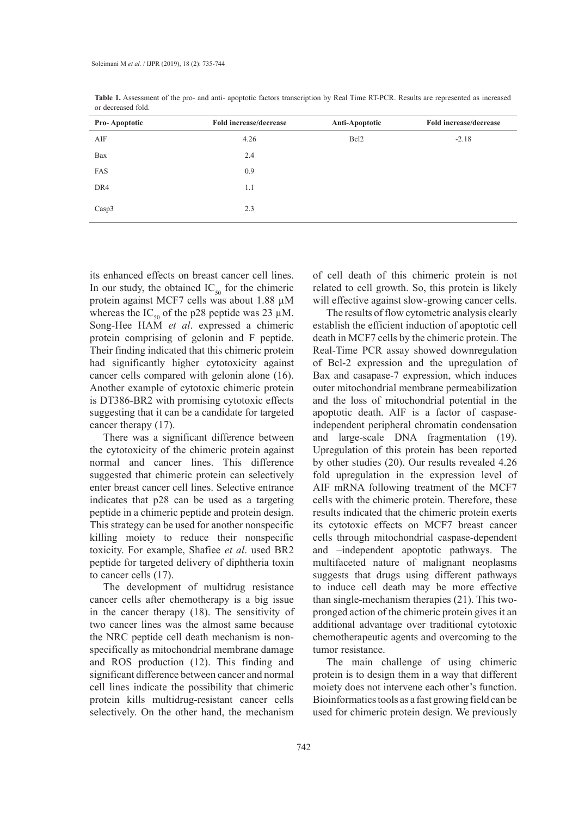| <b>Pro-Apoptotic</b> | Fold increase/decrease | Anti-Apoptotic   | Fold increase/decrease |
|----------------------|------------------------|------------------|------------------------|
| AIF                  | 4.26                   | Bcl <sub>2</sub> | $-2.18$                |
| Bax                  | 2.4                    |                  |                        |
| FAS                  | 0.9                    |                  |                        |
| DR4                  | 1.1                    |                  |                        |
| Casp3                | 2.3                    |                  |                        |

**Table 1.** Assessment of the pro- and anti- apoptotic factors transcription by Real Time RT-PCR. Results are represented as increased or decreased fold.

its enhanced effects on breast cancer cell lines. In our study, the obtained  $IC_{50}$  for the chimeric protein against MCF7 cells was about 1.88 µM whereas the IC<sub>50</sub> of the p28 peptide was 23  $\mu$ M. Song-Hee HAM *et al*. expressed a chimeric protein comprising of gelonin and F peptide. Their finding indicated that this chimeric protein had significantly higher cytotoxicity against cancer cells compared with gelonin alone (16). Another example of cytotoxic chimeric protein is DT386-BR2 with promising cytotoxic effects suggesting that it can be a candidate for targeted cancer therapy (17).

There was a significant difference between the cytotoxicity of the chimeric protein against normal and cancer lines. This difference suggested that chimeric protein can selectively enter breast cancer cell lines. Selective entrance indicates that p28 can be used as a targeting peptide in a chimeric peptide and protein design. This strategy can be used for another nonspecific killing moiety to reduce their nonspecific toxicity. For example, Shafiee *et al*. used BR2 peptide for targeted delivery of diphtheria toxin to cancer cells (17).

The development of multidrug resistance cancer cells after chemotherapy is a big issue in the cancer therapy (18). The sensitivity of two cancer lines was the almost same because the NRC peptide cell death mechanism is nonspecifically as mitochondrial membrane damage and ROS production (12). This finding and significant difference between cancer and normal cell lines indicate the possibility that chimeric protein kills multidrug-resistant cancer cells selectively. On the other hand, the mechanism

of cell death of this chimeric protein is not related to cell growth. So, this protein is likely will effective against slow-growing cancer cells.

The results of flow cytometric analysis clearly establish the efficient induction of apoptotic cell death in MCF7 cells by the chimeric protein. The Real-Time PCR assay showed downregulation of Bcl-2 expression and the upregulation of Bax and casapase-7 expression, which induces outer mitochondrial membrane permeabilization and the loss of mitochondrial potential in the apoptotic death. AIF is a factor of caspaseindependent peripheral chromatin condensation and large-scale DNA fragmentation (19). Upregulation of this protein has been reported by other studies (20). Our results revealed 4.26 fold upregulation in the expression level of AIF mRNA following treatment of the MCF7 cells with the chimeric protein. Therefore, these results indicated that the chimeric protein exerts its cytotoxic effects on MCF7 breast cancer cells through mitochondrial caspase-dependent and –independent apoptotic pathways. The multifaceted nature of malignant neoplasms suggests that drugs using different pathways to induce cell death may be more effective than single-mechanism therapies (21). This twopronged action of the chimeric protein gives it an additional advantage over traditional cytotoxic chemotherapeutic agents and overcoming to the tumor resistance.

The main challenge of using chimeric protein is to design them in a way that different moiety does not intervene each other's function. Bioinformatics tools as a fast growing field can be used for chimeric protein design. We previously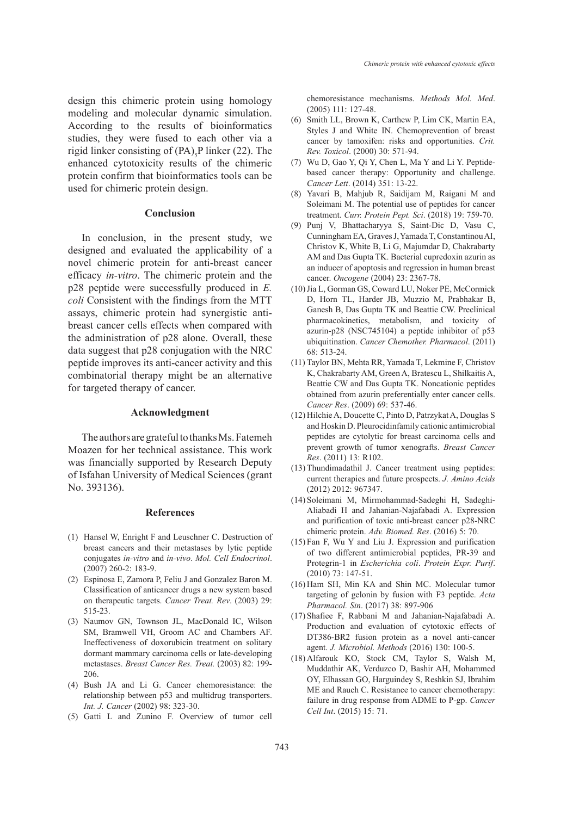design this chimeric protein using homology modeling and molecular dynamic simulation. According to the results of bioinformatics studies, they were fused to each other via a rigid linker consisting of  $(PA)_{5}P$  linker (22). The enhanced cytotoxicity results of the chimeric protein confirm that bioinformatics tools can be used for chimeric protein design.

## **Conclusion**

In conclusion, in the present study, we designed and evaluated the applicability of a novel chimeric protein for anti-breast cancer efficacy *in-vitro*. The chimeric protein and the p28 peptide were successfully produced in *E. coli* Consistent with the findings from the MTT assays, chimeric protein had synergistic antibreast cancer cells effects when compared with the administration of p28 alone. Overall, these data suggest that p28 conjugation with the NRC peptide improves its anti-cancer activity and this combinatorial therapy might be an alternative for targeted therapy of cancer.

#### **Acknowledgment**

The authors are grateful to thanks Ms. Fatemeh Moazen for her technical assistance. This work was financially supported by Research Deputy of Isfahan University of Medical Sciences (grant No. 393136).

## **References**

- (1) Hansel W, Enright F and Leuschner C. Destruction of breast cancers and their metastases by lytic peptide conjugates *in-vitro* and *in-vivo*. *Mol. Cell Endocrinol*. (2007) 260-2: 183-9.
- (2) Espinosa E, Zamora P, Feliu J and Gonzalez Baron M. Classification of anticancer drugs a new system based on therapeutic targets. *Cancer Treat. Rev*. (2003) 29: 515-23.
- (3) Naumov GN, Townson JL, MacDonald IC, Wilson SM, Bramwell VH, Groom AC and Chambers AF. Ineffectiveness of doxorubicin treatment on solitary dormant mammary carcinoma cells or late-developing metastases. *Breast Cancer Res. Treat.* (2003) 82: 199- 206.
- (4) Bush JA and Li G. Cancer chemoresistance: the relationship between p53 and multidrug transporters. *Int. J. Cancer* (2002) 98: 323-30.
- (5) Gatti L and Zunino F. Overview of tumor cell

chemoresistance mechanisms. *Methods Mol. Med*. (2005) 111: 127-48.

- $(6)$  Smith LL, Brown K, Carthew P, Lim CK, Martin EA, Styles J and White IN. Chemoprevention of breast cancer by tamoxifen: risks and opportunities. *Crit. Rev. Toxicol*. (2000) 30: 571-94.
- Wu D, Gao Y, Qi Y, Chen L, Ma Y and Li Y. Peptide-(7) based cancer therapy: Opportunity and challenge. *Cancer Lett*. (2014) 351: 13-22.
- Yavari B, Mahjub R, Saidijam M, Raigani M and (8) Soleimani M. The potential use of peptides for cancer treatment. *Curr. Protein Pept. Sci*. (2018) 19: 759-70.
- Punj V, Bhattacharyya S, Saint-Dic D, Vasu C, (9) Cunningham EA, Graves J, Yamada T, Constantinou AI, Christov K, White B, Li G, Majumdar D, Chakrabarty AM and Das Gupta TK. Bacterial cupredoxin azurin as an inducer of apoptosis and regression in human breast cancer. *Oncogene* (2004) 23: 2367-78.
- (10) Jia L, Gorman GS, Coward LU, Noker PE, McCormick D, Horn TL, Harder JB, Muzzio M, Prabhakar B, Ganesh B, Das Gupta TK and Beattie CW. Preclinical pharmacokinetics, metabolism, and toxicity of azurin-p28 (NSC745104) a peptide inhibitor of p53 ubiquitination. *Cancer Chemother. Pharmacol*. (2011) 68: 513-24.
- (11) Taylor BN, Mehta RR, Yamada T, Lekmine F, Christov K, Chakrabarty AM, Green A, Bratescu L, Shilkaitis A, Beattie CW and Das Gupta TK. Noncationic peptides obtained from azurin preferentially enter cancer cells. *Cancer Res*. (2009) 69: 537-46.
- (12) Hilchie A, Doucette C, Pinto D, Patrzykat A, Douglas S and Hoskin D. Pleurocidinfamily cationic antimicrobial peptides are cytolytic for breast carcinoma cells and prevent growth of tumor xenografts. *Breast Cancer Res*. (2011) 13: R102.
- (13) Thundimadathil J. Cancer treatment using peptides: current therapies and future prospects. *J. Amino Acids* (2012) 2012: 967347.
- (14) Soleimani M, Mirmohammad-Sadeghi H, Sadeghi-Aliabadi H and Jahanian-Najafabadi A. Expression and purification of toxic anti-breast cancer p28-NRC chimeric protein. *Adv. Biomed. Res*. (2016) 5: 70.
- $(15)$  Fan F, Wu Y and Liu J. Expression and purification of two different antimicrobial peptides, PR-39 and Protegrin-1 in *Escherichia coli*. *Protein Expr. Purif*. (2010) 73: 147-51.
- (16) Ham SH, Min KA and Shin MC. Molecular tumor targeting of gelonin by fusion with F3 peptide. *Acta Pharmacol. Sin*. (2017) 38: 897-906
- (17) Shafiee F, Rabbani M and Jahanian-Najafabadi A. Production and evaluation of cytotoxic effects of DT386-BR2 fusion protein as a novel anti-cancer agent. *J. Microbiol. Methods* (2016) 130: 100-5.
- Alfarouk KO, Stock CM, Taylor S, Walsh M, (18) Muddathir AK, Verduzco D, Bashir AH, Mohammed OY, Elhassan GO, Harguindey S, Reshkin SJ, Ibrahim ME and Rauch C. Resistance to cancer chemotherapy: failure in drug response from ADME to P-gp. *Cancer Cell Int*. (2015) 15: 71.